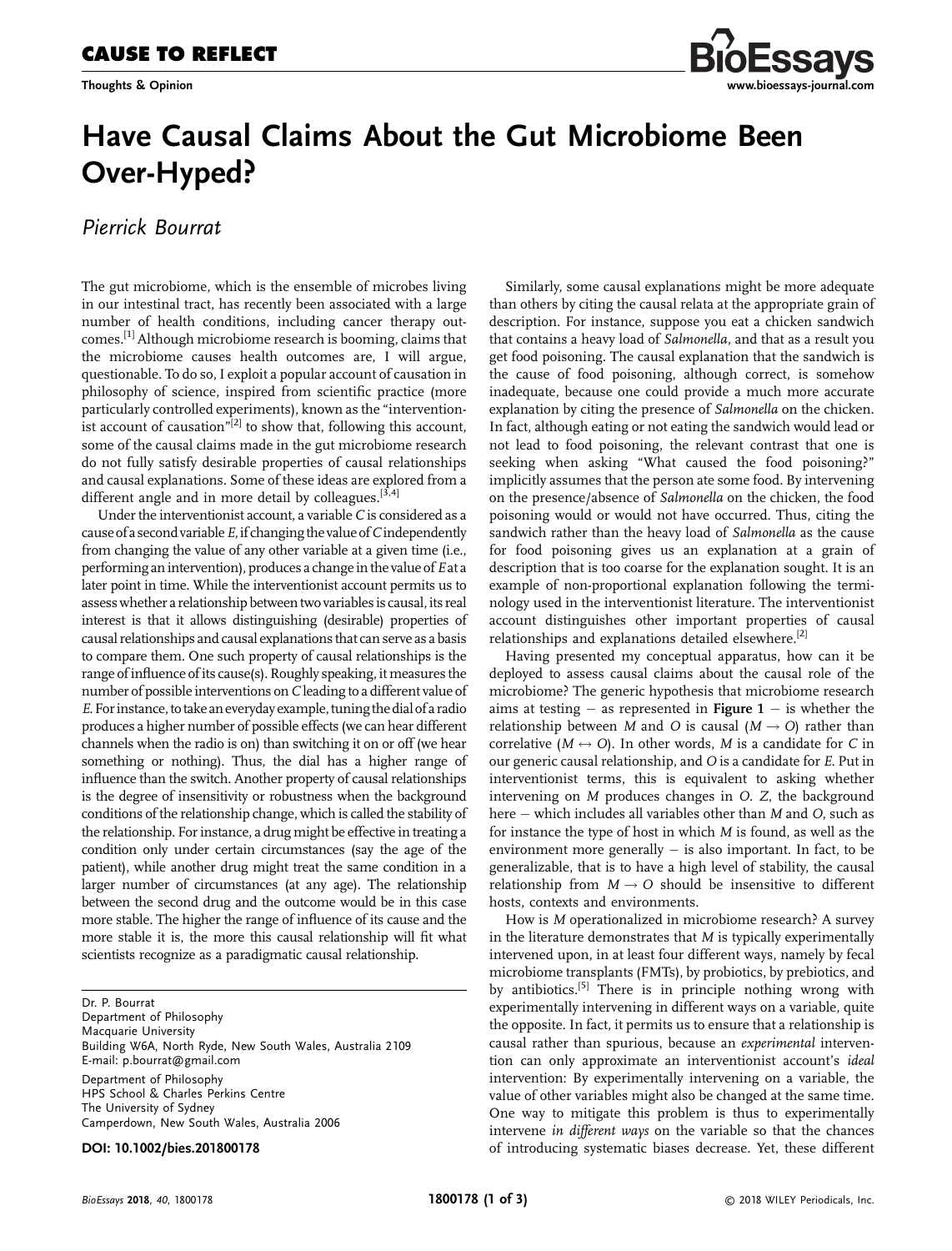Thoughts & Opinion



## Have Causal Claims About the Gut Microbiome Been Over-Hyped?

Pierrick Bourrat

The gut microbiome, which is the ensemble of microbes living in our intestinal tract, has recently been associated with a large number of health conditions, including cancer therapy outcomes.[1] Although microbiome research is booming, claims that the microbiome causes health outcomes are, I will argue, questionable. To do so, I exploit a popular account of causation in philosophy of science, inspired from scientific practice (more particularly controlled experiments), known as the "interventionist account of causation"<sup>[2]</sup> to show that, following this account, some of the causal claims made in the gut microbiome research do not fully satisfy desirable properties of causal relationships and causal explanations. Some of these ideas are explored from a different angle and in more detail by colleagues.<sup>[3,4]</sup>

Under the interventionist account, a variable  $C$  is considered as a cause of a second variable  $E$ , if changing the value of C independently from changing the value of any other variable at a given time (i.e., performing an intervention), produces a change in the value of  $E$  at a later point in time. While the interventionist account permits us to assess whether a relationship between two variables is causal, its real interest is that it allows distinguishing (desirable) properties of causal relationships and causal explanationsthat can serve as a basis to compare them. One such property of causal relationships is the range of influence of its cause(s). Roughly speaking, it measures the number of possible interventions on C leading to a different value of E. For instance, to take an everyday example, tuning the dial of a radio produces a higher number of possible effects (we can hear different channels when the radio is on) than switching it on or off (we hear something or nothing). Thus, the dial has a higher range of influence than the switch. Another property of causal relationships is the degree of insensitivity or robustness when the background conditions of the relationship change, which is called the stability of the relationship. For instance, a drug might be effective in treating a condition only under certain circumstances (say the age of the patient), while another drug might treat the same condition in a larger number of circumstances (at any age). The relationship between the second drug and the outcome would be in this case more stable. The higher the range of influence of its cause and the more stable it is, the more this causal relationship will fit what scientists recognize as a paradigmatic causal relationship.

Dr. P. Bourrat

Department of Philosophy Macquarie University Building W6A, North Ryde, New South Wales, Australia 2109 E-mail: p.bourrat@gmail.com Department of Philosophy HPS School & Charles Perkins Centre

The University of Sydney Camperdown, New South Wales, Australia 2006

DOI: 10.1002/bies.201800178

Similarly, some causal explanations might be more adequate than others by citing the causal relata at the appropriate grain of description. For instance, suppose you eat a chicken sandwich that contains a heavy load of Salmonella, and that as a result you get food poisoning. The causal explanation that the sandwich is the cause of food poisoning, although correct, is somehow inadequate, because one could provide a much more accurate explanation by citing the presence of Salmonella on the chicken. In fact, although eating or not eating the sandwich would lead or not lead to food poisoning, the relevant contrast that one is seeking when asking "What caused the food poisoning?" implicitly assumes that the person ate some food. By intervening on the presence/absence of Salmonella on the chicken, the food poisoning would or would not have occurred. Thus, citing the sandwich rather than the heavy load of Salmonella as the cause for food poisoning gives us an explanation at a grain of description that is too coarse for the explanation sought. It is an example of non-proportional explanation following the terminology used in the interventionist literature. The interventionist account distinguishes other important properties of causal relationships and explanations detailed elsewhere.<sup>[2]</sup>

Having presented my conceptual apparatus, how can it be deployed to assess causal claims about the causal role of the microbiome? The generic hypothesis that microbiome research aims at testing  $-$  as represented in Figure 1  $-$  is whether the relationship between M and O is causal  $(M \rightarrow O)$  rather than correlative  $(M \leftrightarrow O)$ . In other words, M is a candidate for C in our generic causal relationship, and O is a candidate for E. Put in interventionist terms, this is equivalent to asking whether intervening on M produces changes in O. Z, the background here  $-$  which includes all variables other than  $M$  and  $O$ , such as for instance the type of host in which M is found, as well as the environment more generally  $-$  is also important. In fact, to be generalizable, that is to have a high level of stability, the causal relationship from  $M \rightarrow O$  should be insensitive to different hosts, contexts and environments.

How is M operationalized in microbiome research? A survey in the literature demonstrates that  $M$  is typically experimentally intervened upon, in at least four different ways, namely by fecal microbiome transplants (FMTs), by probiotics, by prebiotics, and by antibiotics.<sup>[5]</sup> There is in principle nothing wrong with experimentally intervening in different ways on a variable, quite the opposite. In fact, it permits us to ensure that a relationship is causal rather than spurious, because an experimental intervention can only approximate an interventionist account's ideal intervention: By experimentally intervening on a variable, the value of other variables might also be changed at the same time. One way to mitigate this problem is thus to experimentally intervene in different ways on the variable so that the chances of introducing systematic biases decrease. Yet, these different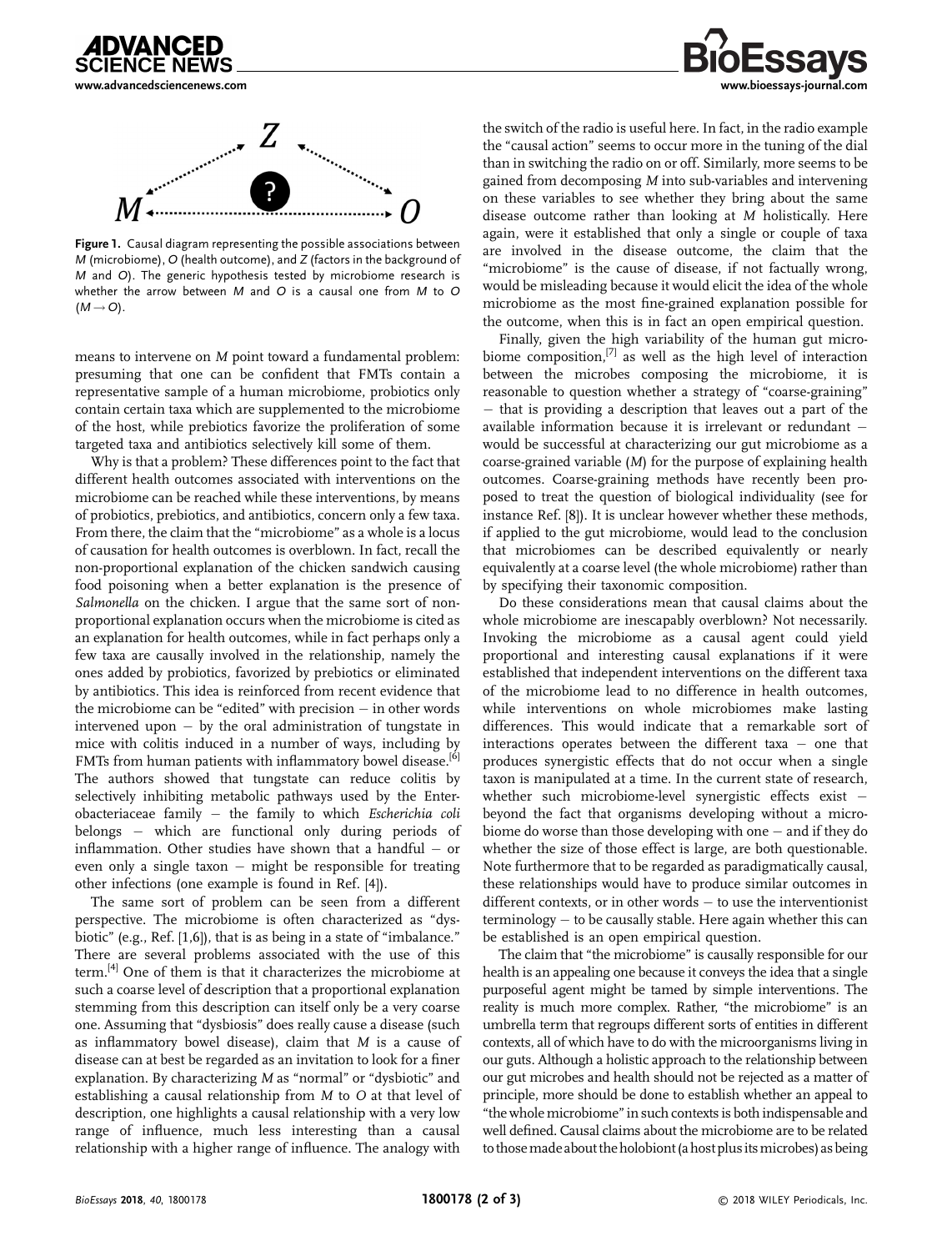



Figure 1. Causal diagram representing the possible associations between M (microbiome), O (health outcome), and Z (factors in the background of M and O). The generic hypothesis tested by microbiome research is whether the arrow between M and O is a causal one from M to O  $(M \rightarrow O)$ .

means to intervene on M point toward a fundamental problem: presuming that one can be confident that FMTs contain a representative sample of a human microbiome, probiotics only contain certain taxa which are supplemented to the microbiome of the host, while prebiotics favorize the proliferation of some targeted taxa and antibiotics selectively kill some of them.

Why is that a problem? These differences point to the fact that different health outcomes associated with interventions on the microbiome can be reached while these interventions, by means of probiotics, prebiotics, and antibiotics, concern only a few taxa. From there, the claim that the "microbiome" as a whole is a locus of causation for health outcomes is overblown. In fact, recall the non-proportional explanation of the chicken sandwich causing food poisoning when a better explanation is the presence of Salmonella on the chicken. I argue that the same sort of nonproportional explanation occurs when the microbiome is cited as an explanation for health outcomes, while in fact perhaps only a few taxa are causally involved in the relationship, namely the ones added by probiotics, favorized by prebiotics or eliminated by antibiotics. This idea is reinforced from recent evidence that the microbiome can be "edited" with precision  $-$  in other words intervened upon  $-$  by the oral administration of tungstate in mice with colitis induced in a number of ways, including by FMTs from human patients with inflammatory bowel disease.<sup>[6]</sup> The authors showed that tungstate can reduce colitis by selectively inhibiting metabolic pathways used by the Enterobacteriaceae family  $-$  the family to which Escherichia coli belongs - which are functional only during periods of inflammation. Other studies have shown that a handful  $-$  or even only a single taxon  $-$  might be responsible for treating other infections (one example is found in Ref. [4]).

The same sort of problem can be seen from a different perspective. The microbiome is often characterized as "dysbiotic" (e.g., Ref. [1,6]), that is as being in a state of "imbalance." There are several problems associated with the use of this term.[4] One of them is that it characterizes the microbiome at such a coarse level of description that a proportional explanation stemming from this description can itself only be a very coarse one. Assuming that "dysbiosis" does really cause a disease (such as inflammatory bowel disease), claim that M is a cause of disease can at best be regarded as an invitation to look for a finer explanation. By characterizing M as "normal" or "dysbiotic" and establishing a causal relationship from M to O at that level of description, one highlights a causal relationship with a very low range of influence, much less interesting than a causal relationship with a higher range of influence. The analogy with



the switch of the radio is useful here. In fact, in the radio example the "causal action" seems to occur more in the tuning of the dial than in switching the radio on or off. Similarly, more seems to be gained from decomposing M into sub-variables and intervening on these variables to see whether they bring about the same disease outcome rather than looking at M holistically. Here again, were it established that only a single or couple of taxa are involved in the disease outcome, the claim that the "microbiome" is the cause of disease, if not factually wrong, would be misleading because it would elicit the idea of the whole microbiome as the most fine-grained explanation possible for the outcome, when this is in fact an open empirical question.

Finally, given the high variability of the human gut microbiome composition, $^{[7]}$  as well as the high level of interaction between the microbes composing the microbiome, it is reasonable to question whether a strategy of "coarse-graining" that is providing a description that leaves out a part of the available information because it is irrelevant or redundant would be successful at characterizing our gut microbiome as a coarse-grained variable (M) for the purpose of explaining health outcomes. Coarse-graining methods have recently been proposed to treat the question of biological individuality (see for instance Ref. [8]). It is unclear however whether these methods, if applied to the gut microbiome, would lead to the conclusion that microbiomes can be described equivalently or nearly equivalently at a coarse level (the whole microbiome) rather than by specifying their taxonomic composition.

Do these considerations mean that causal claims about the whole microbiome are inescapably overblown? Not necessarily. Invoking the microbiome as a causal agent could yield proportional and interesting causal explanations if it were established that independent interventions on the different taxa of the microbiome lead to no difference in health outcomes, while interventions on whole microbiomes make lasting differences. This would indicate that a remarkable sort of interactions operates between the different taxa  $-$  one that produces synergistic effects that do not occur when a single taxon is manipulated at a time. In the current state of research, whether such microbiome-level synergistic effects exist beyond the fact that organisms developing without a microbiome do worse than those developing with one  $-$  and if they do whether the size of those effect is large, are both questionable. Note furthermore that to be regarded as paradigmatically causal, these relationships would have to produce similar outcomes in different contexts, or in other words  $-$  to use the interventionist  $terminology - to be causally stable. Here again whether this can$ be established is an open empirical question.

The claim that "the microbiome" is causally responsible for our health is an appealing one because it conveys the idea that a single purposeful agent might be tamed by simple interventions. The reality is much more complex. Rather, "the microbiome" is an umbrella term that regroups different sorts of entities in different contexts, all of which have to do with the microorganisms living in our guts. Although a holistic approach to the relationship between our gut microbes and health should not be rejected as a matter of principle, more should be done to establish whether an appeal to "the wholemicrobiome" in such contexts is both indispensable and well defined. Causal claims about the microbiome are to be related to those made about the holobiont (a host plus its microbes) as being